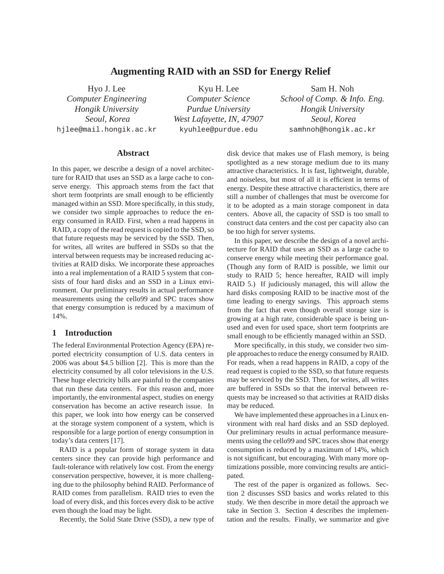# **Augmenting RAID with an SSD for Energy Relief**

Hyo J. Lee *Computer Engineering Hongik University Seoul, Korea* hjlee@mail.hongik.ac.kr

Kyu H. Lee *Computer Science Purdue University West Lafayette, IN, 47907* kyuhlee@purdue.edu

Sam H. Noh *School of Comp. & Info. Eng. Hongik University Seoul, Korea* samhnoh@hongik.ac.kr

### **Abstract**

In this paper, we describe a design of a novel architecture for RAID that uses an SSD as a large cache to conserve energy. This approach stems from the fact that short term footprints are small enough to be efficiently managed within an SSD. More specifically, in this study, we consider two simple approaches to reduce the energy consumed in RAID. First, when a read happens in RAID, a copy of the read request is copied to the SSD, so that future requests may be serviced by the SSD. Then, for writes, all writes are buffered in SSDs so that the interval between requests may be increased reducing activities at RAID disks. We incorporate these approaches into a real implementation of a RAID 5 system that consists of four hard disks and an SSD in a Linux environment. Our preliminary results in actual performance measurements using the cello99 and SPC traces show that energy consumption is reduced by a maximum of 14%.

# **1 Introduction**

The federal Environmental Protection Agency (EPA) reported electricity consumption of U.S. data centers in 2006 was about \$4.5 billion [2]. This is more than the electricity consumed by all color televisions in the U.S. These huge electricity bills are painful to the companies that run these data centers. For this reason and, more importantly, the environmental aspect, studies on energy conservation has become an active research issue. In this paper, we look into how energy can be conserved at the storage system component of a system, which is responsible for a large portion of energy consumption in today's data centers [17].

RAID is a popular form of storage system in data centers since they can provide high performance and fault-tolerance with relatively low cost. From the energy conservation perspective, however, it is more challenging due to the philosophy behind RAID. Performance of RAID comes from parallelism. RAID tries to even the load of every disk, and this forces every disk to be active even though the load may be light.

Recently, the Solid State Drive (SSD), a new type of

disk device that makes use of Flash memory, is being spotlighted as a new storage medium due to its many attractive characteristics. It is fast, lightweight, durable, and noiseless, but most of all it is efficient in terms of energy. Despite these attractive characteristics, there are still a number of challenges that must be overcome for it to be adopted as a main storage component in data centers. Above all, the capacity of SSD is too small to construct data centers and the cost per capacity also can be too high for server systems.

In this paper, we describe the design of a novel architecture for RAID that uses an SSD as a large cache to conserve energy while meeting their performance goal. (Though any form of RAID is possible, we limit our study to RAID 5; hence hereafter, RAID will imply RAID 5.) If judiciously managed, this will allow the hard disks composing RAID to be inactive most of the time leading to energy savings. This approach stems from the fact that even though overall storage size is growing at a high rate, considerable space is being unused and even for used space, short term footprints are small enough to be efficiently managed within an SSD.

More specifically, in this study, we consider two simple approaches to reduce the energy consumed by RAID. For reads, when a read happens in RAID, a copy of the read request is copied to the SSD, so that future requests may be serviced by the SSD. Then, for writes, all writes are buffered in SSDs so that the interval between requests may be increased so that activities at RAID disks may be reduced.

We have implemented these approaches in a Linux environment with real hard disks and an SSD deployed. Our preliminary results in actual performance measurements using the cello99 and SPC traces show that energy consumption is reduced by a maximum of 14%, which is not significant, but encouraging. With many more optimizations possible, more convincing results are anticipated.

The rest of the paper is organized as follows. Section 2 discusses SSD basics and works related to this study. We then describe in more detail the approach we take in Section 3. Section 4 describes the implementation and the results. Finally, we summarize and give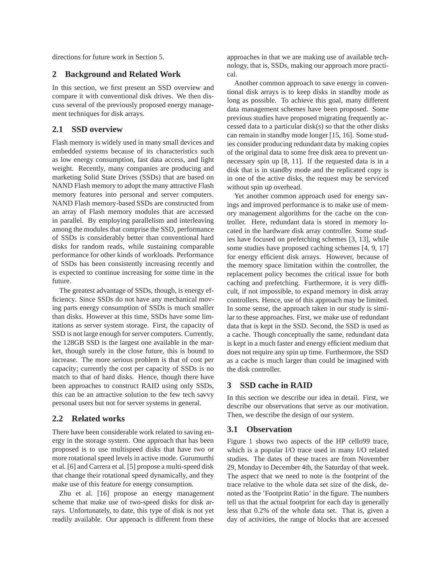directions for future work in Section 5.

### **2 Background and Related Work**

In this section, we first present an SSD overview and compare it with conventional disk drives. We then discuss several of the previously proposed energy management techniques for disk arrays.

# **2.1 SSD overview**

Flash memory is widely used in many small devices and embedded systems because of its characteristics such as low energy consumption, fast data access, and light weight. Recently, many companies are producing and marketing Solid State Drives (SSDs) that are based on NAND Flash memory to adopt the many attractive Flash memory features into personal and server computers. NAND Flash memory-based SSDs are constructed from an array of Flash memory modules that are accessed in parallel. By employing parallelism and interleaving among the modules that comprise the SSD, performance of SSDs is considerably better than conventional hard disks for random reads, while sustaining comparable performance for other kinds of workloads. Performance of SSDs has been consistently increasing recently and is expected to continue increasing for some time in the future.

The greatest advantage of SSDs, though, is energy efficiency. Since SSDs do not have any mechanical moving parts energy consumption of SSDs is much smaller than disks. However at this time, SSDs have some limitations as server system storage. First, the capacity of SSD is not large enough for server computers. Currently, the 128GB SSD is the largest one available in the market, though surely in the close future, this is bound to increase. The more serious problem is that of cost per capacity; currently the cost per capacity of SSDs is no match to that of hard disks. Hence, though there have been approaches to construct RAID using only SSDs, this can be an attractive solution to the few tech savvy personal users but not for server systems in general.

### **2.2 Related works**

There have been considerable work related to saving energy in the storage system. One approach that has been proposed is to use multispeed disks that have two or more rotational speed levels in active mode. Gurumurthi et al. [6] and Carrera et al. [5] propose a multi-speed disk that change their rotational speed dynamically, and they make use of this feature for energy consumption.

Zhu et al. [16] propose an energy management scheme that make use of two-speed disks for disk arrays. Unfortunately, to date, this type of disk is not yet readily available. Our approach is different from these

approaches in that we are making use of available technology, that is, SSDs, making our approach more practical.

Another common approach to save energy in conventional disk arrays is to keep disks in standby mode as long as possible. To achieve this goal, many different data management schemes have been proposed. Some previous studies have proposed migrating frequently accessed data to a particular disk(s) so that the other disks can remain in standby mode longer [15, 16]. Some studies consider producing redundant data by making copies of the original data to some free disk area to prevent unnecessary spin up [8, 11]. If the requested data is in a disk that is in standby mode and the replicated copy is in one of the active disks, the request may be serviced without spin up overhead.

Yet another common approach used for energy savings and improved performance is to make use of memory management algorithms for the cache on the controller. Here, redundant data is stored in memory located in the hardware disk array controller. Some studies have focused on prefetching schemes [3, 13], while some studies have proposed caching schemes [4, 9, 17] for energy efficient disk arrays. However, because of the memory space limitation within the controller, the replacement policy becomes the critical issue for both caching and prefetching. Furthermore, it is very difficult, if not impossible, to expand memory in disk array controllers. Hence, use of this approach may be limited. In some sense, the approach taken in our study is similar to these approaches. First, we make use of redundant data that is kept in the SSD. Second, the SSD is used as a cache. Though conceptually the same, redundant data is kept in a much faster and energy efficient medium that does not require any spin up time. Furthermore, the SSD as a cache is much larger than could be imagined with the disk controller.

#### **3 SSD cache in RAID**

In this section we describe our idea in detail. First, we describe our observations that serve as our motivation. Then, we describe the design of our system.

### **3.1 Observation**

Figure 1 shows two aspects of the HP cello99 trace, which is a popular I/O trace used in many I/O related studies. The dates of these traces are from November 29, Monday to December 4th, the Saturday of that week. The aspect that we need to note is the footprint of the trace relative to the whole data set size of the disk, denoted as the 'Footprint Ratio' in the figure. The numbers tell us that the actual footprint for each day is generally less that 0.2% of the whole data set. That is, given a day of activities, the range of blocks that are accessed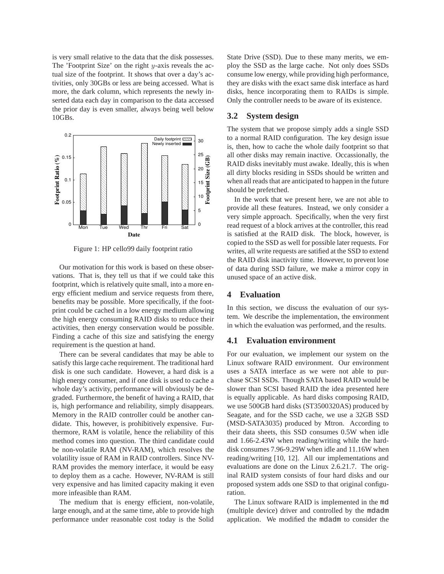is very small relative to the data that the disk possesses. The 'Footprint Size' on the right  $y$ -axis reveals the actual size of the footprint. It shows that over a day's activities, only 30GBs or less are being accessed. What is more, the dark column, which represents the newly inserted data each day in comparison to the data accessed the prior day is even smaller, always being well below 10GBs.



Figure 1: HP cello99 daily footprint ratio

Our motivation for this work is based on these observations. That is, they tell us that if we could take this footprint, which is relatively quite small, into a more energy efficient medium and service requests from there, benefits may be possible. More specifically, if the footprint could be cached in a low energy medium allowing the high energy consuming RAID disks to reduce their activities, then energy conservation would be possible. Finding a cache of this size and satisfying the energy requirement is the question at hand.

There can be several candidates that may be able to satisfy this large cache requirement. The traditional hard disk is one such candidate. However, a hard disk is a high energy consumer, and if one disk is used to cache a whole day's activity, performance will obviously be degraded. Furthermore, the benefit of having a RAID, that is, high performance and reliability, simply disappears. Memory in the RAID controller could be another candidate. This, however, is prohibitively expensive. Furthermore, RAM is volatile, hence the reliability of this method comes into question. The third candidate could be non-volatile RAM (NV-RAM), which resolves the volatility issue of RAM in RAID controllers. Since NV-RAM provides the memory interface, it would be easy to deploy them as a cache. However, NV-RAM is still very expensive and has limited capacity making it even more infeasible than RAM.

The medium that is energy efficient, non-volatile, large enough, and at the same time, able to provide high performance under reasonable cost today is the Solid

State Drive (SSD). Due to these many merits, we employ the SSD as the large cache. Not only does SSDs consume low energy, while providing high performance, they are disks with the exact same disk interface as hard disks, hence incorporating them to RAIDs is simple. Only the controller needs to be aware of its existence.

# **3.2 System design**

The system that we propose simply adds a single SSD to a normal RAID configuration. The key design issue is, then, how to cache the whole daily footprint so that all other disks may remain inactive. Occassionally, the RAID disks inevitably must awake. Ideally, this is when all dirty blocks residing in SSDs should be written and when all reads that are anticipated to happen in the future should be prefetched.

In the work that we present here, we are not able to provide all these features. Instead, we only consider a very simple approach. Specifically, when the very first read request of a block arrives at the controller, this read is satisfied at the RAID disk. The block, however, is copied to the SSD as well for possible later requests. For writes, all write requests are satified at the SSD to extend the RAID disk inactivity time. However, to prevent lose of data during SSD failure, we make a mirror copy in unused space of an active disk.

# **4 Evaluation**

In this section, we discuss the evaluation of our system. We describe the implementation, the environment in which the evaluation was performed, and the results.

## **4.1 Evaluation environment**

For our evaluation, we implement our system on the Linux software RAID environment. Our environment uses a SATA interface as we were not able to purchase SCSI SSDs. Though SATA based RAID would be slower than SCSI based RAID the idea presented here is equally applicable. As hard disks composing RAID, we use 500GB hard disks (ST3500320AS) produced by Seagate, and for the SSD cache, we use a 32GB SSD (MSD-SATA3035) produced by Mtron. According to their data sheets, this SSD consumes 0.5W when idle and 1.66-2.43W when reading/writing while the harddisk consumes 7.96-9.29W when idle and 11.16W when reading/writing [10, 12]. All our implementations and evaluations are done on the Linux 2.6.21.7. The original RAID system consists of four hard disks and our proposed system adds one SSD to that original configuration.

The Linux software RAID is implemented in the md (multiple device) driver and controlled by the mdadm application. We modified the mdadm to consider the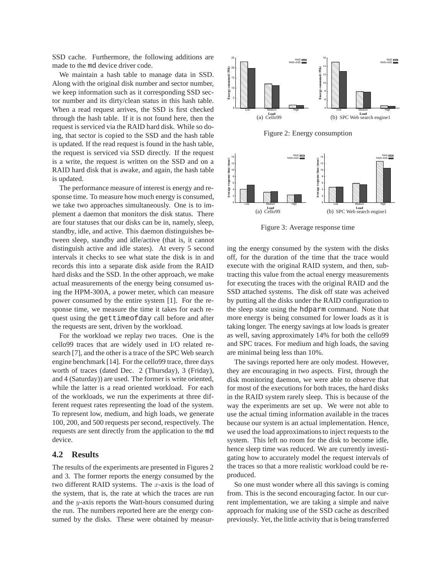SSD cache. Furthermore, the following additions are made to the md device driver code.

We maintain a hash table to manage data in SSD. Along with the original disk number and sector number, we keep information such as it corresponding SSD sector number and its dirty/clean status in this hash table. When a read request arrives, the SSD is first checked through the hash table. If it is not found here, then the request is serviced via the RAID hard disk. While so doing, that sector is copied to the SSD and the hash table is updated. If the read request is found in the hash table, the request is serviced via SSD directly. If the request is a write, the request is written on the SSD and on a RAID hard disk that is awake, and again, the hash table is updated.

The performance measure of interest is energy and response time. To measure how much energy is consumed, we take two approaches simultaneously. One is to implement a daemon that monitors the disk status. There are four statuses that our disks can be in, namely, sleep, standby, idle, and active. This daemon distinguishes between sleep, standby and idle/active (that is, it cannot distinguish active and idle states). At every 5 second intervals it checks to see what state the disk is in and records this into a separate disk aside from the RAID hard disks and the SSD. In the other approach, we make actual measurements of the energy being consumed using the HPM-300A, a power meter, which can measure power consumed by the entire system [1]. For the response time, we measure the time it takes for each request using the gettimeofday call before and after the requests are sent, driven by the workload.

For the workload we replay two traces. One is the cello99 traces that are widely used in I/O related research [7], and the other is a trace of the SPC Web search engine benchmark [14]. For the cello99 trace, three days worth of traces (dated Dec. 2 (Thursday), 3 (Friday), and 4 (Saturday)) are used. The former is write oriented, while the latter is a read oriented workload. For each of the workloads, we run the experiments at three different request rates representing the load of the system. To represent low, medium, and high loads, we generate 100, 200, and 500 requests per second, respectively. The requests are sent directly from the application to the md device.

### **4.2 Results**

The results of the experiments are presented in Figures 2 and 3. The former reports the energy consumed by the two different RAID systems. The  $x$ -axis is the load of the system, that is, the rate at which the traces are run and the y-axis reports the Watt-hours consumed during the run. The numbers reported here are the energy consumed by the disks. These were obtained by measur-





Figure 3: Average response time

ing the energy consumed by the system with the disks off, for the duration of the time that the trace would execute with the original RAID system, and then, subtracting this value from the actual energy measurements for executing the traces with the original RAID and the SSD attached systems. The disk off state was acheived by putting all the disks under the RAID configuration to the sleep state using the hdparm command. Note that more energy is being consumed for lower loads as it is taking longer. The energy savings at low loads is greater as well, saving approximately 14% for both the cello99 and SPC traces. For medium and high loads, the saving are minimal being less than 10%.

The savings reported here are only modest. However, they are encouraging in two aspects. First, through the disk monitoring daemon, we were able to observe that for most of the executions for both traces, the hard disks in the RAID system rarely sleep. This is because of the way the experiments are set up. We were not able to use the actual timing information available in the traces because our system is an actual implementation. Hence, we used the load approximations to inject requests to the system. This left no room for the disk to become idle, hence sleep time was reduced. We are currently investigating how to accurately model the request intervals of the traces so that a more realistic workload could be reproduced.

So one must wonder where all this savings is coming from. This is the second encouraging factor. In our current implementation, we are taking a simple and naive approach for making use of the SSD cache as described previously. Yet, the little activity that is being transferred